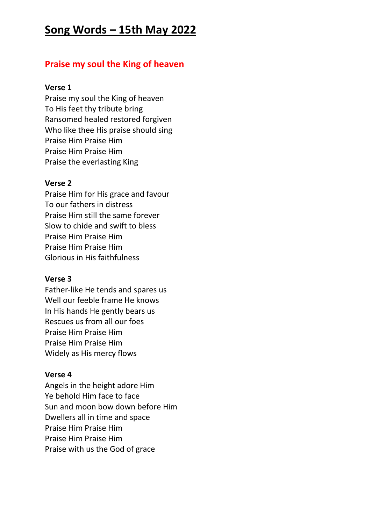# **Song Words – 15th May 2022**

## **Praise my soul the King of heaven**

### **Verse 1**

Praise my soul the King of heaven To His feet thy tribute bring Ransomed healed restored forgiven Who like thee His praise should sing Praise Him Praise Him Praise Him Praise Him Praise the everlasting King

## **Verse 2**

Praise Him for His grace and favour To our fathers in distress Praise Him still the same forever Slow to chide and swift to bless Praise Him Praise Him Praise Him Praise Him Glorious in His faithfulness

## **Verse 3**

Father-like He tends and spares us Well our feeble frame He knows In His hands He gently bears us Rescues us from all our foes Praise Him Praise Him Praise Him Praise Him Widely as His mercy flows

## **Verse 4**

Angels in the height adore Him Ye behold Him face to face Sun and moon bow down before Him Dwellers all in time and space Praise Him Praise Him Praise Him Praise Him Praise with us the God of grace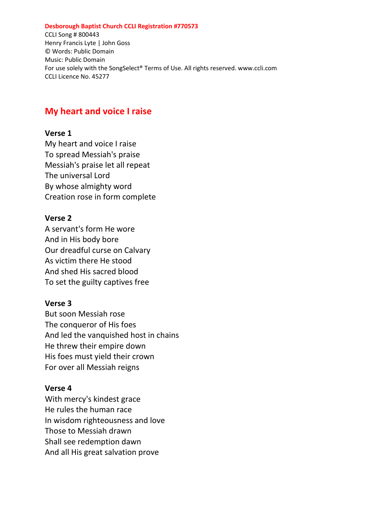#### **Desborough Baptist Church CCLI Registration #770573**

CCLI Song # 800443 Henry Francis Lyte | John Goss © Words: Public Domain Music: Public Domain For use solely with the SongSelect® Terms of Use. All rights reserved. www.ccli.com CCLI Licence No. 45277

## **My heart and voice I raise**

#### **Verse 1**

My heart and voice I raise To spread Messiah's praise Messiah's praise let all repeat The universal Lord By whose almighty word Creation rose in form complete

#### **Verse 2**

A servant's form He wore And in His body bore Our dreadful curse on Calvary As victim there He stood And shed His sacred blood To set the guilty captives free

#### **Verse 3**

But soon Messiah rose The conqueror of His foes And led the vanquished host in chains He threw their empire down His foes must yield their crown For over all Messiah reigns

#### **Verse 4**

With mercy's kindest grace He rules the human race In wisdom righteousness and love Those to Messiah drawn Shall see redemption dawn And all His great salvation prove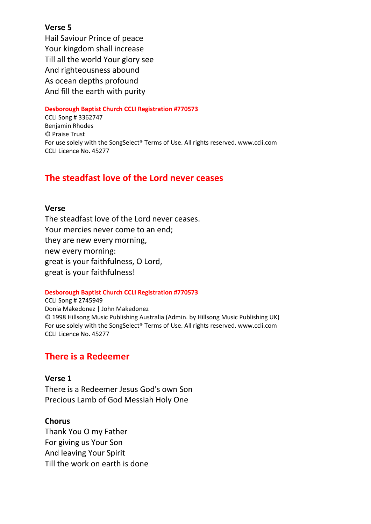#### **Verse 5**

Hail Saviour Prince of peace Your kingdom shall increase Till all the world Your glory see And righteousness abound As ocean depths profound And fill the earth with purity

#### **Desborough Baptist Church CCLI Registration #770573**

CCLI Song # 3362747 Benjamin Rhodes © Praise Trust For use solely with the SongSelect® Terms of Use. All rights reserved. www.ccli.com CCLI Licence No. 45277

## **The steadfast love of the Lord never ceases**

#### **Verse**

The steadfast love of the Lord never ceases. Your mercies never come to an end; they are new every morning, new every morning: great is your faithfulness, O Lord, great is your faithfulness!

#### **Desborough Baptist Church CCLI Registration #770573**

CCLI Song # 2745949 Donia Makedonez | John Makedonez © 1998 Hillsong Music Publishing Australia (Admin. by Hillsong Music Publishing UK) For use solely with the SongSelect® Terms of Use. All rights reserved. www.ccli.com CCLI Licence No. 45277

### **There is a Redeemer**

#### **Verse 1**

There is a Redeemer Jesus God's own Son Precious Lamb of God Messiah Holy One

#### **Chorus**

Thank You O my Father For giving us Your Son And leaving Your Spirit Till the work on earth is done